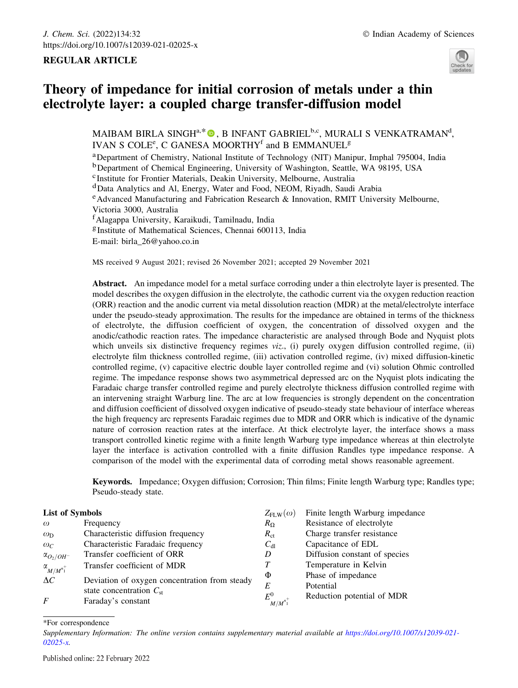# REGULAR ARTICLE



# Theory of impedance for initial corrosion of metals under a thin electrolyte layer: a coupled charge transfer-diffusion model

MAIBAM BIRLA SINGH $\rm{^{a,*}}$   $\rm{^{\copyright}}$  , B INFANT GABRIEL $\rm{^{b,c}}$ , MURALI S VENKATRAMAN $\rm{^d}$ , IVAN S COLE<sup>e</sup>, C GANESA MOORTHY<sup>f</sup> and B EMMANUEL<sup>g</sup>

aDepartment of Chemistry, National Institute of Technology (NIT) Manipur, Imphal 795004, India

<sup>b</sup>Department of Chemical Engineering, University of Washington, Seattle, WA 98195, USA

cInstitute for Frontier Materials, Deakin University, Melbourne, Australia

dData Analytics and Al, Energy, Water and Food, NEOM, Riyadh, Saudi Arabia

 $e$ Advanced Manufacturing and Fabrication Research & Innovation, RMIT University Melbourne, Victoria 3000, Australia

f Alagappa University, Karaikudi, Tamilnadu, India

<sup>g</sup>Institute of Mathematical Sciences, Chennai 600113, India

E-mail: birla\_26@yahoo.co.in

MS received 9 August 2021; revised 26 November 2021; accepted 29 November 2021

Abstract. An impedance model for a metal surface corroding under a thin electrolyte layer is presented. The model describes the oxygen diffusion in the electrolyte, the cathodic current via the oxygen reduction reaction (ORR) reaction and the anodic current via metal dissolution reaction (MDR) at the metal/electrolyte interface under the pseudo-steady approximation. The results for the impedance are obtained in terms of the thickness of electrolyte, the diffusion coefficient of oxygen, the concentration of dissolved oxygen and the anodic/cathodic reaction rates. The impedance characteristic are analysed through Bode and Nyquist plots which unveils six distinctive frequency regimes *viz.*, (i) purely oxygen diffusion controlled regime, (ii) electrolyte film thickness controlled regime, (iii) activation controlled regime, (iv) mixed diffusion-kinetic controlled regime, (v) capacitive electric double layer controlled regime and (vi) solution Ohmic controlled regime. The impedance response shows two asymmetrical depressed arc on the Nyquist plots indicating the Faradaic charge transfer controlled regime and purely electrolyte thickness diffusion controlled regime with an intervening straight Warburg line. The arc at low frequencies is strongly dependent on the concentration and diffusion coefficient of dissolved oxygen indicative of pseudo-steady state behaviour of interface whereas the high frequency arc represents Faradaic regimes due to MDR and ORR which is indicative of the dynamic nature of corrosion reaction rates at the interface. At thick electrolyte layer, the interface shows a mass transport controlled kinetic regime with a finite length Warburg type impedance whereas at thin electrolyte layer the interface is activation controlled with a finite diffusion Randles type impedance response. A comparison of the model with the experimental data of corroding metal shows reasonable agreement.

Keywords. Impedance; Oxygen diffusion; Corrosion; Thin films; Finite length Warburg type; Randles type; Pseudo-steady state.

| <b>List of Symbols</b>                |                                                                               | $Z_{FLW}(\omega)$    | Finite length Warburg impedance |
|---------------------------------------|-------------------------------------------------------------------------------|----------------------|---------------------------------|
| $\omega$                              | Frequency                                                                     | $R_{\Omega}$         | Resistance of electrolyte       |
| $\omega_{D}$                          | Characteristic diffusion frequency                                            | $R_{\rm ct}$         | Charge transfer resistance      |
| $\omega_C$                            | Characteristic Faradaic frequency                                             | $C_{d1}$             | Capacitance of EDL              |
| $\alpha_{O_2/OH^-}$                   | Transfer coefficient of ORR                                                   | D                    | Diffusion constant of species   |
| $\alpha$ <sub>M/M<sup>n+</sup>1</sub> | Transfer coefficient of MDR                                                   |                      | Temperature in Kelvin           |
| $\Delta C$                            | Deviation of oxygen concentration from steady<br>state concentration $C_{st}$ | Ф<br>E               | Phase of impedance<br>Potential |
| F                                     | Faraday's constant                                                            | $E^0$<br>$M/M^{n_1}$ | Reduction potential of MDR      |

\*For correspondence

Supplementary Information: The online version contains supplementary material available at https://doi.org/10.1007/s12039-021- 02025-x.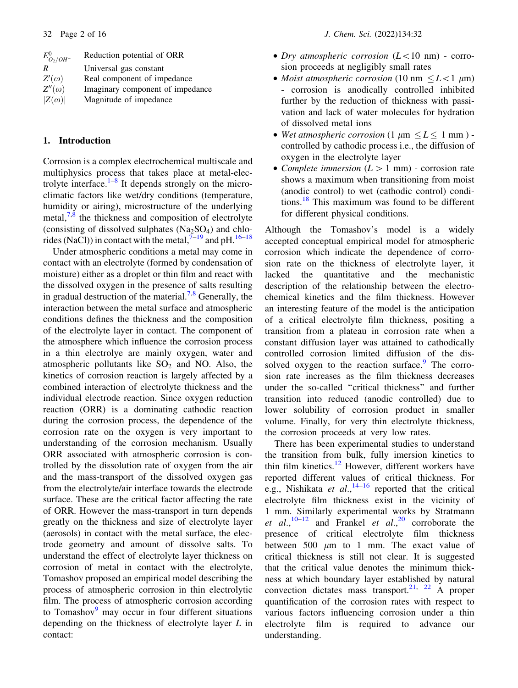| $E_{O_2/OH^-}^{0}$ | Reduction potential of ORR       |
|--------------------|----------------------------------|
| R                  | Universal gas constant           |
| $Z'(\omega)$       | Real component of impedance      |
| $Z''(\omega)$      | Imaginary component of impedance |
| $ Z(\omega) $      | Magnitude of impedance           |
|                    |                                  |

#### 1. Introduction

Corrosion is a complex electrochemical multiscale and multiphysics process that takes place at metal-electrolyte interface. $1-8$  It depends strongly on the microclimatic factors like wet/dry conditions (temperature, humidity or airing), microstructure of the underlying metal, $7<sup>8</sup>$  the thickness and composition of electrolyte (consisting of dissolved sulphates  $(Na_2SO_4)$  and chlorides (NaCl)) in contact with the metal,  $7-19$  and pH.  $16-18$ 

Under atmospheric conditions a metal may come in contact with an electrolyte (formed by condensation of moisture) either as a droplet or thin film and react with the dissolved oxygen in the presence of salts resulting in gradual destruction of the material.<sup>7,8</sup> Generally, the interaction between the metal surface and atmospheric conditions defines the thickness and the composition of the electrolyte layer in contact. The component of the atmosphere which influence the corrosion process in a thin electrolye are mainly oxygen, water and atmospheric pollutants like  $SO<sub>2</sub>$  and NO. Also, the kinetics of corrosion reaction is largely affected by a combined interaction of electrolyte thickness and the individual electrode reaction. Since oxygen reduction reaction (ORR) is a dominating cathodic reaction during the corrosion process, the dependence of the corrosion rate on the oxygen is very important to understanding of the corrosion mechanism. Usually ORR associated with atmospheric corrosion is controlled by the dissolution rate of oxygen from the air and the mass-transport of the dissolved oxygen gas from the electrolyte/air interface towards the electrode surface. These are the critical factor affecting the rate of ORR. However the mass-transport in turn depends greatly on the thickness and size of electrolyte layer (aerosols) in contact with the metal surface, the electrode geometry and amount of dissolve salts. To understand the effect of electrolyte layer thickness on corrosion of metal in contact with the electrolyte, Tomashov proposed an empirical model describing the process of atmospheric corrosion in thin electrolytic film. The process of atmospheric corrosion according to Tomashov $9$  may occur in four different situations depending on the thickness of electrolyte layer L in contact:

- Dry atmospheric corrosion  $(L<10$  nm) corrosion proceeds at negligibly small rates
- Moist atmospheric corrosion (10 nm  $\leq L < 1$  µm) - corrosion is anodically controlled inhibited further by the reduction of thickness with passivation and lack of water molecules for hydration of dissolved metal ions
- Wet atmospheric corrosion  $(1 \mu m \leq L \leq 1 mm)$  controlled by cathodic process i.e., the diffusion of oxygen in the electrolyte layer
- Complete immersion  $(L > 1$  mm) corrosion rate shows a maximum when transitioning from moist (anodic control) to wet (cathodic control) conditions.<sup>18</sup> This maximum was found to be different for different physical conditions.

Although the Tomashov's model is a widely accepted conceptual empirical model for atmospheric corrosion which indicate the dependence of corrosion rate on the thickness of electrolyte layer, it lacked the quantitative and the mechanistic description of the relationship between the electrochemical kinetics and the film thickness. However an interesting feature of the model is the anticipation of a critical electrolyte film thickness, positing a transition from a plateau in corrosion rate when a constant diffusion layer was attained to cathodically controlled corrosion limited diffusion of the dissolved oxygen to the reaction surface.<sup>9</sup> The corrosion rate increases as the film thickness decreases under the so-called ''critical thickness'' and further transition into reduced (anodic controlled) due to lower solubility of corrosion product in smaller volume. Finally, for very thin electrolyte thickness, the corrosion proceeds at very low rates.

There has been experimental studies to understand the transition from bulk, fully imersion kinetics to thin film kinetics.<sup>12</sup> However, different workers have reported different values of critical thickness. For e.g., Nishikata *et al.*,<sup>14–16</sup> reported that the critical electrolyte film thickness exist in the vicinity of 1 mm. Similarly experimental works by Stratmann et al.,<sup>10–12</sup> and Frankel et al.,<sup>20</sup> corroborate the presence of critical electrolyte film thickness between 500  $\mu$ m to 1 mm. The exact value of critical thickness is still not clear. It is suggested that the critical value denotes the minimum thickness at which boundary layer established by natural convection dictates mass transport.<sup>21, 22</sup> A proper quantification of the corrosion rates with respect to various factors influencing corrosion under a thin electrolyte film is required to advance our understanding.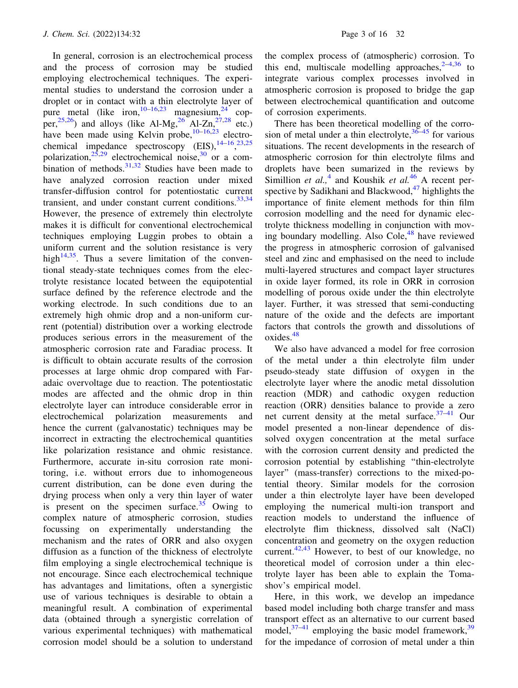In general, corrosion is an electrochemical process and the process of corrosion may be studied employing electrochemical techniques. The experimental studies to understand the corrosion under a droplet or in contact with a thin electrolyte layer of pure metal (like iron,  $10-16,23$  magnesium,  $24$  copper,<sup>25,26</sup>) and alloys (like Al-Mg,<sup>26</sup> Al-Zn,<sup>27,28</sup> etc.) have been made using Kelvin probe,  $10-16,23$  electrochemical impedance spectroscopy  $(EIS), \frac{14-16}{23,25}$ polarization,  $25,29$  electrochemical noise,  $30$  or a combination of methods. $31,32$  Studies have been made to have analyzed corrosion reaction under mixed transfer-diffusion control for potentiostatic current transient, and under constant current conditions.  $33,34$ However, the presence of extremely thin electrolyte makes it is difficult for conventional electrochemical techniques employing Luggin probes to obtain a uniform current and the solution resistance is very high<sup>14,35</sup>. Thus a severe limitation of the conventional steady-state techniques comes from the electrolyte resistance located between the equipotential surface defined by the reference electrode and the working electrode. In such conditions due to an extremely high ohmic drop and a non-uniform current (potential) distribution over a working electrode produces serious errors in the measurement of the atmospheric corrosion rate and Faradiac process. It is difficult to obtain accurate results of the corrosion processes at large ohmic drop compared with Faradaic overvoltage due to reaction. The potentiostatic modes are affected and the ohmic drop in thin electrolyte layer can introduce considerable error in electrochemical polarization measurements and hence the current (galvanostatic) techniques may be incorrect in extracting the electrochemical quantities like polarization resistance and ohmic resistance. Furthermore, accurate in-situ corrosion rate monitoring, i.e. without errors due to inhomogeneous current distribution, can be done even during the drying process when only a very thin layer of water is present on the specimen surface.<sup>35</sup> Owing to complex nature of atmospheric corrosion, studies focussing on experimentally understanding the mechanism and the rates of ORR and also oxygen diffusion as a function of the thickness of electrolyte film employing a single electrochemical technique is not encourage. Since each electrochemical technique has advantages and limitations, often a synergistic use of various techniques is desirable to obtain a meaningful result. A combination of experimental data (obtained through a synergistic correlation of various experimental techniques) with mathematical corrosion model should be a solution to understand

the complex process of (atmospheric) corrosion. To this end, multiscale modelling approaches,  $2-4,36$  to integrate various complex processes involved in atmospheric corrosion is proposed to bridge the gap between electrochemical quantification and outcome of corrosion experiments.

There has been theoretical modelling of the corrosion of metal under a thin electrolyte, $36-45$  for various situations. The recent developments in the research of atmospheric corrosion for thin electrolyte films and droplets have been sumarized in the reviews by Simillion et al.,<sup>4</sup> and Koushik et al.<sup>46</sup> A recent perspective by Sadikhani and Blackwood, $47$  highlights the importance of finite element methods for thin film corrosion modelling and the need for dynamic electrolyte thickness modelling in conjunction with moving boundary modelling. Also Cole, $48$  have reviewed the progress in atmospheric corrosion of galvanised steel and zinc and emphasised on the need to include multi-layered structures and compact layer structures in oxide layer formed, its role in ORR in corrosion modelling of porous oxide under the thin electrolyte layer. Further, it was stressed that semi-conducting nature of the oxide and the defects are important factors that controls the growth and dissolutions of oxides.<sup>48</sup>

We also have advanced a model for free corrosion of the metal under a thin electrolyte film under pseudo-steady state diffusion of oxygen in the electrolyte layer where the anodic metal dissolution reaction (MDR) and cathodic oxygen reduction reaction (ORR) densities balance to provide a zero net current density at the metal surface. $37-41$  Our model presented a non-linear dependence of dissolved oxygen concentration at the metal surface with the corrosion current density and predicted the corrosion potential by establishing ''thin-electrolyte layer'' (mass-transfer) corrections to the mixed-potential theory. Similar models for the corrosion under a thin electrolyte layer have been developed employing the numerical multi-ion transport and reaction models to understand the influence of electrolyte flim thickness, dissolved salt (NaCl) concentration and geometry on the oxygen reduction current.<sup>42,43</sup> However, to best of our knowledge, no theoretical model of corrosion under a thin electrolyte layer has been able to explain the Tomashov's empirical model.

Here, in this work, we develop an impedance based model including both charge transfer and mass transport effect as an alternative to our current based model, $37-41$  employing the basic model framework,  $39$ for the impedance of corrosion of metal under a thin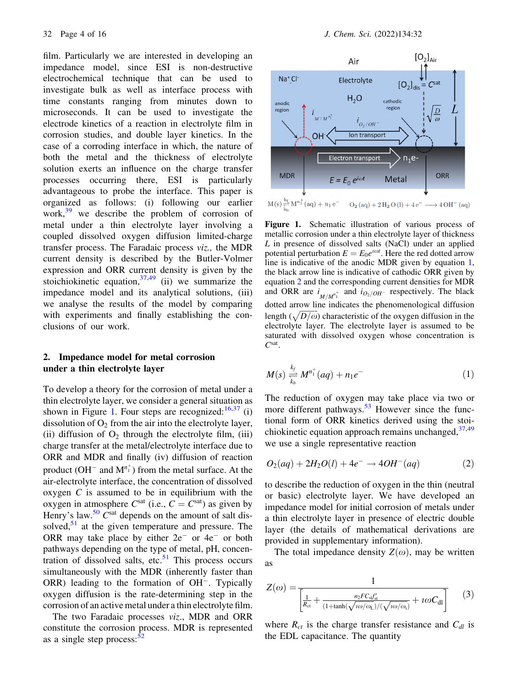film. Particularly we are interested in developing an impedance model, since ESI is non-destructive electrochemical technique that can be used to investigate bulk as well as interface process with time constants ranging from minutes down to microseconds. It can be used to investigate the electrode kinetics of a reaction in electrolyte film in corrosion studies, and double layer kinetics. In the case of a corroding interface in which, the nature of both the metal and the thickness of electrolyte solution exerts an influence on the charge transfer processes occurring there, ESI is particularly advantageous to probe the interface. This paper is organized as follows: (i) following our earlier work, $39$  we describe the problem of corrosion of metal under a thin electrolyte layer involving a coupled dissolved oxygen diffusion limited-charge transfer process. The Faradaic process viz., the MDR current density is described by the Butler-Volmer expression and ORR current density is given by the stoichiokinetic equation,  $37,49$  (ii) we summarize the impedance model and its analytical solutions, (iii) we analyse the results of the model by comparing with experiments and finally establishing the conclusions of our work.

# 2. Impedance model for metal corrosion under a thin electrolyte layer

To develop a theory for the corrosion of metal under a thin electrolyte layer, we consider a general situation as shown in Figure 1. Four steps are recognized:  $16,37$  (i) dissolution of  $O_2$  from the air into the electrolyte layer, (ii) diffusion of  $O_2$  through the electrolyte film, (iii) charge transfer at the metal/electrolyte interface due to ORR and MDR and finally (iv) diffusion of reaction product ( $OH^-$  and  $M^{n_1^+}$ ) from the metal surface. At the air-electrolyte interface, the concentration of dissolved oxygen  $C$  is assumed to be in equilibrium with the oxygen in atmosphere  $C<sup>sat</sup>$  (i.e.,  $C = C<sup>sat</sup>$ ) as given by Henry's law.<sup>50</sup>  $C<sup>sat</sup>$  depends on the amount of salt dissolved, $51$  at the given temperature and pressure. The ORR may take place by either  $2e^-$  or  $4e^-$  or both pathways depending on the type of metal, pH, concentration of dissolved salts, etc.<sup>51</sup> This process occurs simultaneously with the MDR (inherently faster than ORR) leading to the formation of OH<sup>-</sup>. Typically oxygen diffusion is the rate-determining step in the corrosion of an active metal under a thin electrolyte film.

The two Faradaic processes viz., MDR and ORR constitute the corrosion process. MDR is represented as a single step process: $52$ 



Figure 1. Schematic illustration of various process of metallic corrosion under a thin electrolyte layer of thickness L in presence of dissolved salts (NaCl) under an applied potential perturbation  $E = E_0 e^{i\omega t}$ . Here the red dotted arrow line is indicative of the anodic MDR given by equation 1, the black arrow line is indicative of cathodic ORR given by equation 2 and the corresponding current densities for MDR and ORR are  $i_{M/M_1^{\pi_1^+}}$  and  $i_{O_2/OH^-}$  respectively. The black dotted arrow line indicates the phenomenological diffusion length  $(\sqrt{D/\omega})$  characteristic of the oxygen diffusion in the electrolyte layer. The electrolyte layer is assumed to be saturated with dissolved oxygen whose concentration is  $C^{\text{sat}}$ .

$$
M(s) \underset{k_b}{\overset{k_f}{\rightleftharpoons}} M^{n_1^+}(aq) + n_1 e^{-}
$$
 (1)

The reduction of oxygen may take place via two or more different pathways.<sup>53</sup> However since the functional form of ORR kinetics derived using the stoichiokinetic equation approach remains unchanged,  $37,49$ we use a single representative reaction

$$
O_2(aq) + 2H_2O(l) + 4e^- \to 4OH^-(aq)
$$
 (2)

to describe the reduction of oxygen in the thin (neutral or basic) electrolyte layer. We have developed an impedance model for initial corrosion of metals under a thin electrolyte layer in presence of electric double layer (the details of mathematical derivations are provided in supplementary information).

The total impedance density  $Z(\omega)$ , may be written as

$$
Z(\omega) = \frac{1}{\left[\frac{1}{R_{\rm ct}} + \frac{n_2 F C_{\rm st} f'_{\rm st}}{(1 + \tanh(\sqrt{\frac{1}{\omega/\omega_{\rm L}}})/(\sqrt{\frac{1}{\omega/\omega_{\rm L}}})} + \frac{1}{\omega C_{\rm dl}}\right]}
$$
(3)

where  $R_{ct}$  is the charge transfer resistance and  $C_{dl}$  is the EDL capacitance. The quantity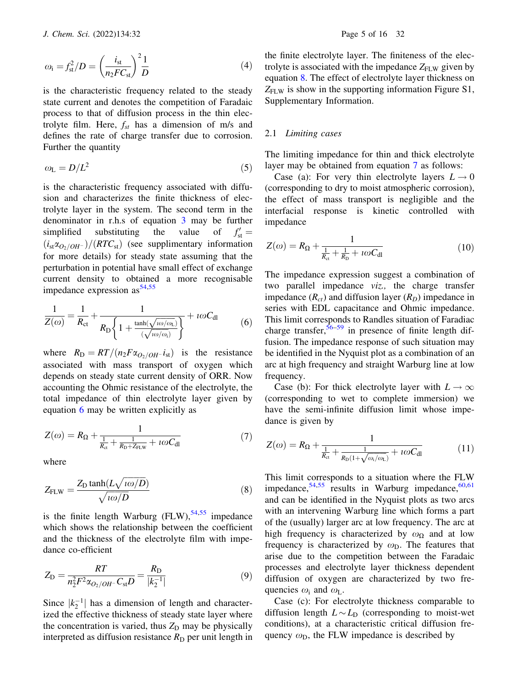$$
\omega_{\rm i} = f_{\rm st}^2/D = \left(\frac{i_{\rm st}}{n_2 F C_{\rm st}}\right)^2 \frac{1}{D} \tag{4}
$$

is the characteristic frequency related to the steady state current and denotes the competition of Faradaic process to that of diffusion process in the thin electrolyte film. Here,  $f_{st}$  has a dimension of m/s and defines the rate of charge transfer due to corrosion. Further the quantity

$$
\omega_{\rm L} = D/L^2 \tag{5}
$$

is the characteristic frequency associated with diffusion and characterizes the finite thickness of electrolyte layer in the system. The second term in the denominator in r.h.s of equation 3 may be further simplified substituting the value of  $f'_{st} =$  $(i_{st}\alpha_{O_2/OH^-})/(RTC_{st})$  (see supplimentary information for more details) for steady state assuming that the perturbation in potential have small effect of exchange current density to obtained a more recognisable impedance expression  $as^{54,55}$ 

$$
\frac{1}{Z(\omega)} = \frac{1}{R_{\rm ct}} + \frac{1}{R_{\rm D} \left\{ 1 + \frac{\tanh(\sqrt{\iota \omega/\omega_{\rm L}})}{(\sqrt{\iota \omega/\omega_{\rm i}})} \right\}} + \iota \omega C_{\rm dl}
$$
(6)

where  $R_{\rm D}=RT/(n_2F\alpha_{O_2/OH^-}i_{\rm st})$  is the resistance associated with mass transport of oxygen which depends on steady state current density of ORR. Now accounting the Ohmic resistance of the electrolyte, the total impedance of thin electrolyte layer given by equation 6 may be written explicitly as

$$
Z(\omega) = R_{\Omega} + \frac{1}{\frac{1}{R_{\alpha}} + \frac{1}{R_{\Omega} + Z_{\text{FLW}}} + \iota \omega C_{\text{dl}}}
$$
(7)

where

$$
Z_{FLW} = \frac{Z_D \tanh(L\sqrt{\iota\omega/D})}{\sqrt{\iota\omega/D}}
$$
\n(8)

is the finite length Warburg  $(FLW)$ ,<sup>54,55</sup> impedance which shows the relationship between the coefficient and the thickness of the electrolyte film with impedance co-efficient

$$
Z_{\rm D} = \frac{RT}{n_2^2 F^2 \alpha_{O_2/OH^-} C_{\rm st} D} = \frac{R_{\rm D}}{|k_2^{-1}|}
$$
(9)

Since  $|k_2^{-1}|$  has a dimension of length and characterized the effective thickness of steady state layer where the concentration is varied, thus  $Z<sub>D</sub>$  may be physically interpreted as diffusion resistance  $R<sub>D</sub>$  per unit length in

the finite electrolyte layer. The finiteness of the electrolyte is associated with the impedance  $Z_{\text{FLW}}$  given by equation 8. The effect of electrolyte layer thickness on  $Z_{FLW}$  is show in the supporting information Figure S1, Supplementary Information.

#### 2.1 Limiting cases

The limiting impedance for thin and thick electrolyte layer may be obtained from equation 7 as follows:

Case (a): For very thin electrolyte layers  $L \rightarrow 0$ (corresponding to dry to moist atmospheric corrosion), the effect of mass transport is negligible and the interfacial response is kinetic controlled with impedance

$$
Z(\omega) = R_{\Omega} + \frac{1}{\frac{1}{R_{\text{ct}}} + \frac{1}{R_{\text{D}}} + \iota \omega C_{\text{dl}}}
$$
(10)

The impedance expression suggest a combination of two parallel impedance viz., the charge transfer impedance  $(R<sub>ct</sub>)$  and diffusion layer  $(R<sub>D</sub>)$  impedance in series with EDL capacitance and Ohmic impedance. This limit corresponds to Randles situation of Faradiac charge transfer,  $56-59$  in presence of finite length diffusion. The impedance response of such situation may be identified in the Nyquist plot as a combination of an arc at high frequency and straight Warburg line at low frequency.

Case (b): For thick electrolyte layer with  $L \to \infty$ (corresponding to wet to complete immersion) we have the semi-infinite diffusion limit whose impedance is given by

$$
Z(\omega) = R_{\Omega} + \frac{1}{\frac{1}{R_{\text{ct}}} + \frac{1}{R_{\text{D}}(1 + \sqrt{\omega_i/\omega_{\text{L}}})} + \iota\omega C_{\text{dl}}}
$$
(11)

This limit corresponds to a situation where the FLW impedance,  $54,55$  results in Warburg impedance,  $60,61$ and can be identified in the Nyquist plots as two arcs with an intervening Warburg line which forms a part of the (usually) larger arc at low frequency. The arc at high frequency is characterized by  $\omega_{\Omega}$  and at low frequency is characterized by  $\omega_D$ . The features that arise due to the competition between the Faradaic processes and electrolyte layer thickness dependent diffusion of oxygen are characterized by two frequencies  $\omega_i$  and  $\omega_L$ .

Case (c): For electrolyte thickness comparable to diffusion length  $L \sim L_D$  (corresponding to moist-wet conditions), at a characteristic critical diffusion frequency  $\omega_D$ , the FLW impedance is described by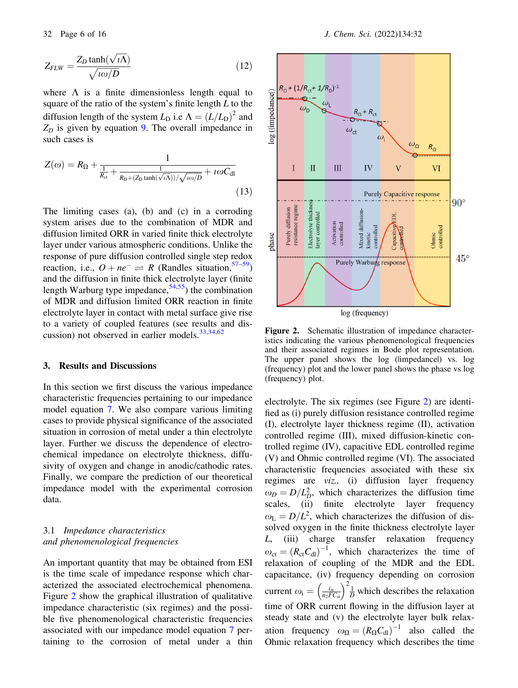$$
Z_{FLW} = \frac{Z_D \tanh(\sqrt{i\Lambda})}{\sqrt{i\omega/D}}
$$
(12)

where  $\Lambda$  is a finite dimensionless length equal to square of the ratio of the system's finite length  $L$  to the diffusion length of the system  $L_D$  i.e  $\Lambda = (L/L_D)^2$  and  $Z_D$  is given by equation 9. The overall impedance in such cases is

$$
Z(\omega) = R_{\Omega} + \frac{1}{\frac{1}{R_{\text{ct}}} + \frac{1}{R_{\text{D}} + (Z_{\text{D}} \tanh(\sqrt{i\Lambda})) / \sqrt{i\omega/D}} + i\omega C_{\text{dl}}}
$$
(13)

The limiting cases (a), (b) and (c) in a corroding system arises due to the combination of MDR and diffusion limited ORR in varied finite thick electrolyte layer under various atmospheric conditions. Unlike the response of pure diffusion controlled single step redox reaction, i.e.,  $O + ne^- \rightleftharpoons R$  (Randles situation,<sup>57–59</sup>) and the diffusion in finite thick electrolyte layer (finite length Warburg type impedance,  $54,55$ ) the combination of MDR and diffusion limited ORR reaction in finite electrolyte layer in contact with metal surface give rise to a variety of coupled features (see results and discussion) not observed in earlier models.  $33,34,62$ 

#### 3. Results and Discussions

In this section we first discuss the various impedance characteristic frequencies pertaining to our impedance model equation 7. We also compare various limiting cases to provide physical significance of the associated situation in corrosion of metal under a thin electrolyte layer. Further we discuss the dependence of electrochemical impedance on electrolyte thickness, diffusivity of oxygen and change in anodic/cathodic rates. Finally, we compare the prediction of our theoretical impedance model with the experimental corrosion data.

# 3.1 Impedance characteristics and phenomenological frequencies

An important quantity that may be obtained from ESI is the time scale of impedance response which characterized the associated electrochemical phenomena. Figure 2 show the graphical illustration of qualitative impedance characteristic (six regimes) and the possible five phenomenological characteristic frequencies associated with our impedance model equation 7 pertaining to the corrosion of metal under a thin



Figure 2. Schematic illustration of impedance characteristics indicating the various phenomenological frequencies and their associated regimes in Bode plot representation. The upper panel shows the log (limpedancel) vs. log (frequency) plot and the lower panel shows the phase vs log (frequency) plot.

electrolyte. The six regimes (see Figure 2) are identified as (i) purely diffusion resistance controlled regime (I), electrolyte layer thickness regime (II), activation controlled regime (III), mixed diffusion-kinetic controlled regime (IV), capacitive EDL controlled regime (V) and Ohmic controlled regime (VI). The associated characteristic frequencies associated with these six regimes are viz., (i) diffusion layer frequency  $\omega_D = D/L_D^2$ , which characterizes the diffusion time scales, (ii) finite electrolyte layer frequency  $\omega_L = D/L^2$ , which characterizes the diffusion of dissolved oxygen in the finite thickness electrolyte layer L, (iii) charge transfer relaxation frequency  $\omega_{\text{ct}} = (R_{\text{ct}} C_{\text{dl}})^{-1}$ , which characterizes the time of relaxation of coupling of the MDR and the EDL capacitance, (iv) frequency depending on corrosion current  $\omega_i = \left(\frac{i_{st}}{n_2FC_{st}}\right)^2 \frac{1}{D}$  which describes the relaxation time of ORR current flowing in the diffusion layer at steady state and (v) the electrolyte layer bulk relaxation frequency  $\omega_{\Omega} = (R_{\Omega} C_{\text{dl}})^{-1}$  also called the Ohmic relaxation frequency which describes the time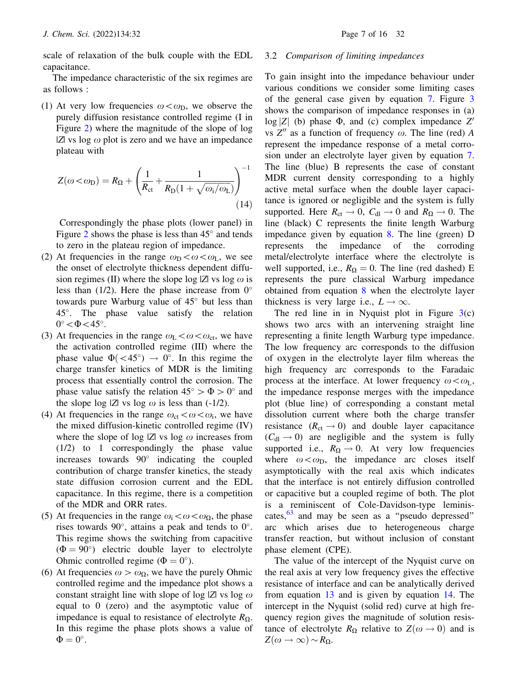scale of relaxation of the bulk couple with the EDL capacitance.

The impedance characteristic of the six regimes are as follows :

(1) At very low frequencies  $\omega < \omega_D$ , we observe the purely diffusion resistance controlled regime (I in Figure 2) where the magnitude of the slope of log  $|Z|$  vs log  $\omega$  plot is zero and we have an impedance plateau with

$$
Z(\omega < \omega_{\rm D}) = R_{\Omega} + \left(\frac{1}{R_{\rm ct}} + \frac{1}{R_{\rm D}(1 + \sqrt{\omega_{\rm i}/\omega_{\rm L}})}\right)^{-1}
$$
(14)

Correspondingly the phase plots (lower panel) in Figure 2 shows the phase is less than  $45^{\circ}$  and tends to zero in the plateau region of impedance.

- (2) At frequencies in the range  $\omega_{\rm D} < \omega < \omega_{\rm L}$ , we see the onset of electrolyte thickness dependent diffusion regimes (II) where the slope log  $|Z|$  vs log  $\omega$  is less than  $(1/2)$ . Here the phase increase from  $0^{\circ}$ towards pure Warburg value of  $45^{\circ}$  but less than 45. The phase value satisfy the relation  $0^\circ$  <  $\Phi$  < 45°.
- (3) At frequencies in the range  $\omega_L < \omega < \omega_{\rm ct}$ , we have the activation controlled regime (III) where the phase value  $\Phi(< 45^{\circ}) \rightarrow 0^{\circ}$ . In this regime the charge transfer kinetics of MDR is the limiting process that essentially control the corrosion. The phase value satisfy the relation  $45^{\circ} > \Phi > 0^{\circ}$  and the slope log  $|Z|$  vs log  $\omega$  is less than (-1/2).
- (4) At frequencies in the range  $\omega_{ct} < \omega < \omega_i$ , we have the mixed diffusion-kinetic controlled regime (IV) where the slope of log  $|Z|$  vs log  $\omega$  increases from (1/2) to 1 correspondingly the phase value increases towards  $90^\circ$  indicating the coupled contribution of charge transfer kinetics, the steady state diffusion corrosion current and the EDL capacitance. In this regime, there is a competition of the MDR and ORR rates.
- (5) At frequencies in the range  $\omega_i\!<\!\omega\!<\!\omega_{\Omega}$ , the phase rises towards 90 $^{\circ}$ , attains a peak and tends to 0 $^{\circ}$ . This regime shows the switching from capacitive  $(\Phi = 90^{\circ})$  electric double layer to electrolyte Ohmic controlled regime ( $\Phi = 0^{\circ}$ ).
- (6) At frequencies  $\omega > \omega_{\Omega}$ , we have the purely Ohmic controlled regime and the impedance plot shows a constant straight line with slope of log  $|Z|$  vs log  $\omega$ equal to 0 (zero) and the asymptotic value of impedance is equal to resistance of electrolyte  $R_{\Omega}$ . In this regime the phase plots shows a value of  $\Phi = 0^{\circ}.$

#### 3.2 Comparison of limiting impedances

To gain insight into the impedance behaviour under various conditions we consider some limiting cases of the general case given by equation 7. Figure 3 shows the comparison of impedance responses in (a)  $log |Z|$  (b) phase  $\Phi$ , and (c) complex impedance  $Z'$ vs  $Z''$  as a function of frequency  $\omega$ . The line (red) A represent the impedance response of a metal corrosion under an electrolyte layer given by equation 7. The line (blue) B represents the case of constant MDR current density corresponding to a highly active metal surface when the double layer capacitance is ignored or negligible and the system is fully supported. Here  $R_{ct} \rightarrow 0$ ,  $C_{dl} \rightarrow 0$  and  $R_{\Omega} \rightarrow 0$ . The line (black) C represents the finite length Warburg impedance given by equation 8. The line (green) D represents the impedance of the corroding metal/electrolyte interface where the electrolyte is well supported, i.e.,  $R_{\Omega} = 0$ . The line (red dashed) E represents the pure classical Warburg impedance obtained from equation 8 when the electrolyte layer thickness is very large i.e.,  $L \rightarrow \infty$ .

The red line in in Nyquist plot in Figure  $3(c)$ shows two arcs with an intervening straight line representing a finite length Warburg type impedance. The low frequency arc corresponds to the diffusion of oxygen in the electrolyte layer film whereas the high frequency arc corresponds to the Faradaic process at the interface. At lower frequency  $\omega < \omega_L$ , the impedance response merges with the impedance plot (blue line) of corresponding a constant metal dissolution current where both the charge transfer resistance  $(R_{ct} \rightarrow 0)$  and double layer capacitance  $(C_{\rm dl} \rightarrow 0)$  are negligible and the system is fully supported i.e.,  $R_{\Omega} \rightarrow 0$ . At very low frequencies where  $\omega < \omega_D$ , the impedance arc closes itself asymptotically with the real axis which indicates that the interface is not entirely diffusion controlled or capacitive but a coupled regime of both. The plot is a reminiscent of Cole-Davidson-type leminiscates,  $63$  and may be seen as a "pseudo depressed" arc which arises due to heterogeneous charge transfer reaction, but without inclusion of constant phase element (CPE).

The value of the intercept of the Nyquist curve on the real axis at very low frequency gives the effective resistance of interface and can be analytically derived from equation 13 and is given by equation 14. The intercept in the Nyquist (solid red) curve at high frequency region gives the magnitude of solution resistance of electrolyte  $R_{\Omega}$  relative to  $Z(\omega \rightarrow 0)$  and is  $Z(\omega \to \infty) \sim R_{\Omega}.$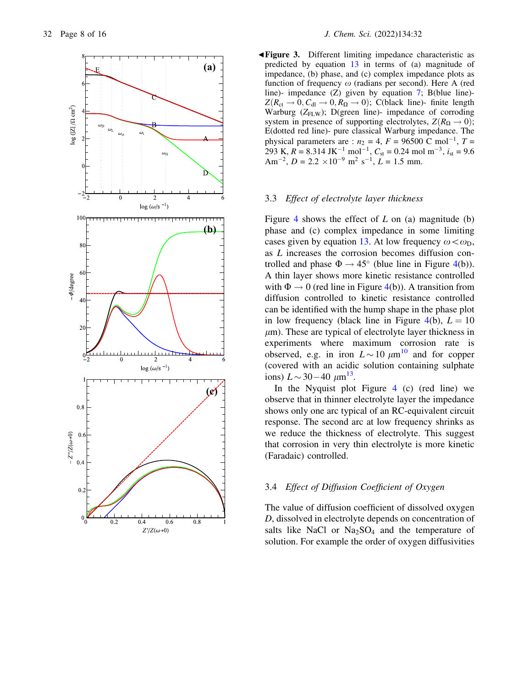

b Figure 3. Different limiting impedance characteristic as predicted by equation 13 in terms of (a) magnitude of impedance, (b) phase, and (c) complex impedance plots as function of frequency  $\omega$  (radians per second). Here A (red line)- impedance (Z) given by equation 7; B(blue line)-  $Z(R_{\text{ct}} \rightarrow 0, C_{\text{dl}} \rightarrow 0, R_{\Omega} \rightarrow 0)$ ; C(black line)- finite length Warburg  $(Z_{FLW})$ ; D(green line)- impedance of corroding system in presence of supporting electrolytes,  $Z(R_{\Omega} \rightarrow 0)$ ; E(dotted red line)- pure classical Warburg impedance. The physical parameters are :  $n_2 = 4$ ,  $F = 96500$  C mol<sup>-1</sup>,  $T =$ 293 K,  $R = 8.314$  JK<sup>-1</sup> mol<sup>-1</sup>,  $C_{st} = 0.24$  mol m<sup>-3</sup>,  $i_{st} = 9.6$ Am<sup>-2</sup>, D = 2.2 × 10<sup>-9</sup> m<sup>2</sup> s<sup>-1</sup>, L = 1.5 mm.

#### 3.3 Effect of electrolyte layer thickness

Figure 4 shows the effect of  $L$  on (a) magnitude (b) phase and (c) complex impedance in some limiting cases given by equation 13. At low frequency  $\omega < \omega_D$ , as L increases the corrosion becomes diffusion controlled and phase  $\Phi \rightarrow 45^{\circ}$  (blue line in Figure 4(b)). A thin layer shows more kinetic resistance controlled with  $\Phi \to 0$  (red line in Figure 4(b)). A transition from diffusion controlled to kinetic resistance controlled can be identified with the hump shape in the phase plot in low frequency (black line in Figure 4(b),  $L = 10$  $\mu$ m). These are typical of electrolyte layer thickness in experiments where maximum corrosion rate is observed, e.g. in iron  $L \sim 10 \ \mu m^{10}$  and for copper (covered with an acidic solution containing sulphate ions)  $L \sim 30 - 40 \ \mu m^{13}$ .

In the Nyquist plot Figure 4 (c) (red line) we observe that in thinner electrolyte layer the impedance shows only one arc typical of an RC-equivalent circuit response. The second arc at low frequency shrinks as we reduce the thickness of electrolyte. This suggest that corrosion in very thin electrolyte is more kinetic (Faradaic) controlled.

#### 3.4 Effect of Diffusion Coefficient of Oxygen

The value of diffusion coefficient of dissolved oxygen D, dissolved in electrolyte depends on concentration of salts like NaCl or  $Na<sub>2</sub>SO<sub>4</sub>$  and the temperature of solution. For example the order of oxygen diffusivities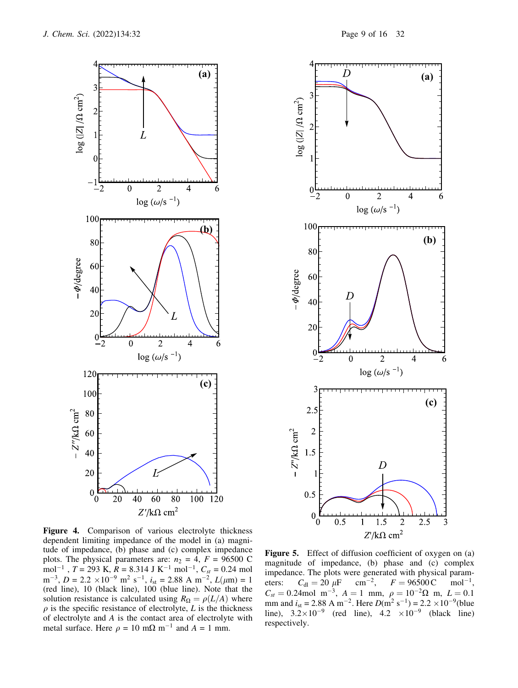



Figure 4. Comparison of various electrolyte thickness dependent limiting impedance of the model in (a) magnitude of impedance, (b) phase and (c) complex impedance plots. The physical parameters are:  $n_2 = 4$ ,  $F = 96500$  C  $mol^{-1}$ ,  $T = 293$  K,  $R = 8.314$  J K<sup>-1</sup> mol<sup>-1</sup>,  $C_{st} = 0.24$  mol  $m^{-3}$ ,  $D = 2.2 \times 10^{-9}$   $m^2$  s<sup>-1</sup>,  $i_{st} = 2.88$  A  $m^{-2}$ ,  $L(\mu m) = 1$ (red line), 10 (black line), 100 (blue line). Note that the solution resistance is calculated using  $R_{\Omega} = \rho(L/A)$  where  $\rho$  is the specific resistance of electrolyte, L is the thickness of electrolyte and A is the contact area of electrolyte with metal surface. Here  $\rho = 10 \text{ m}\Omega \text{ m}^{-1}$  and  $A = 1 \text{ mm}$ .

Figure 5. Effect of diffusion coefficient of oxygen on (a) magnitude of impedance, (b) phase and (c) complex impedance. The plots were generated with physical parameters:  $C_{\text{dl}} = 20 \ \mu\text{F}$  $cm^{-2}$ ,  $F = 96500 \text{ C}$  $mol^{-1}$ ,  $C_{st} = 0.24$  mol m<sup>-3</sup>,  $A = 1$  mm,  $\rho = 10^{-2} \Omega$  m,  $L = 0.1$ mm and  $i_{\text{st}} = 2.88 \text{ A m}^{-2}$ . Here  $D(\text{m}^2 \text{ s}^{-1}) = 2.2 \times 10^{-9}$  (blue line),  $3.2 \times 10^{-9}$  (red line),  $4.2 \times 10^{-9}$  (black line) respectively.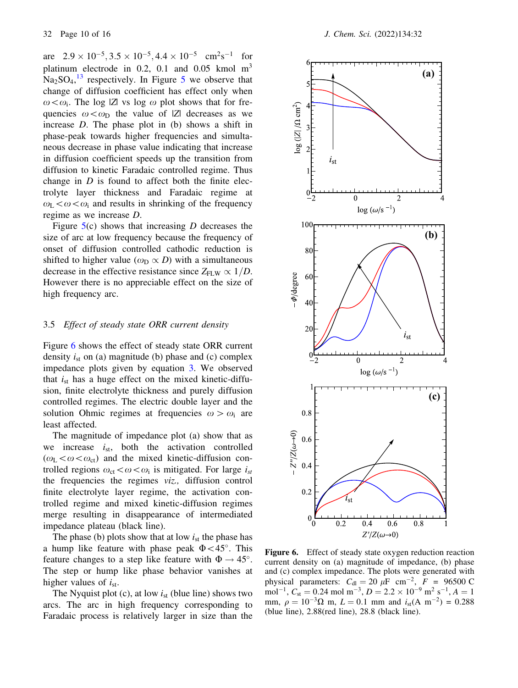are  $2.9 \times 10^{-5}$ ,  $3.5 \times 10^{-5}$ ,  $4.4 \times 10^{-5}$  cm<sup>2</sup>s<sup>-1</sup> for platinum electrode in 0.2, 0.1 and 0.05 kmol  $m<sup>3</sup>$  $Na<sub>2</sub>SO<sub>4</sub>,<sup>13</sup>$  respectively. In Figure 5 we observe that change of diffusion coefficient has effect only when  $\omega < \omega_i$ . The log |Z| vs log  $\omega$  plot shows that for frequencies  $\omega < \omega_D$  the value of |Z| decreases as we increase D. The phase plot in (b) shows a shift in phase-peak towards higher frequencies and simultaneous decrease in phase value indicating that increase in diffusion coefficient speeds up the transition from diffusion to kinetic Faradaic controlled regime. Thus change in  $D$  is found to affect both the finite electrolyte layer thickness and Faradaic regime at  $\omega_L < \omega < \omega_i$  and results in shrinking of the frequency regime as we increase D.

Figure  $5(c)$  shows that increasing D decreases the size of arc at low frequency because the frequency of onset of diffusion controlled cathodic reduction is shifted to higher value ( $\omega_D \propto D$ ) with a simultaneous decrease in the effective resistance since  $Z_{FLW} \propto 1/D$ . However there is no appreciable effect on the size of high frequency arc.

#### 3.5 Effect of steady state ORR current density

Figure 6 shows the effect of steady state ORR current density  $i_{st}$  on (a) magnitude (b) phase and (c) complex impedance plots given by equation 3. We observed that  $i_{st}$  has a huge effect on the mixed kinetic-diffusion, finite electrolyte thickness and purely diffusion controlled regimes. The electric double layer and the solution Ohmic regimes at frequencies  $\omega > \omega_i$  are least affected.

The magnitude of impedance plot (a) show that as we increase  $i_{st}$ , both the activation controlled  $(\omega_L < \omega < \omega_{\rm ct})$  and the mixed kinetic-diffusion controlled regions  $\omega_{\rm ct} < \omega < \omega_i$  is mitigated. For large  $i_{\rm st}$ the frequencies the regimes viz., diffusion control finite electrolyte layer regime, the activation controlled regime and mixed kinetic-diffusion regimes merge resulting in disappearance of intermediated impedance plateau (black line).

The phase (b) plots show that at low  $i_{st}$  the phase has a hump like feature with phase peak  $\Phi < 45^{\circ}$ . This feature changes to a step like feature with  $\Phi \rightarrow 45^{\circ}$ . The step or hump like phase behavior vanishes at higher values of  $i_{st}$ .

The Nyquist plot (c), at low  $i_{st}$  (blue line) shows two arcs. The arc in high frequency corresponding to Faradaic process is relatively larger in size than the



Figure 6. Effect of steady state oxygen reduction reaction current density on (a) magnitude of impedance, (b) phase and (c) complex impedance. The plots were generated with physical parameters:  $C_{\text{dl}} = 20 \mu\text{F cm}^{-2}$ ,  $F = 96500 \text{ C}$ mol<sup>-1</sup>,  $C_{\text{st}} = 0.24$  mol m<sup>-3</sup>,  $D = 2.2 \times 10^{-9}$  m<sup>2</sup> s<sup>-1</sup>,  $A = 1$ mm,  $\rho = 10^{-3} \Omega$  m,  $L = 0.1$  mm and  $i_{st}(A \text{ m}^{-2}) = 0.288$ (blue line), 2.88(red line), 28.8 (black line).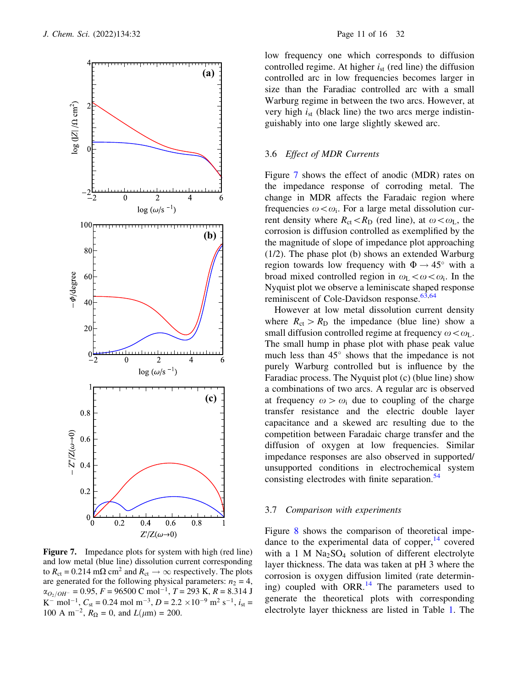

Figure 7. Impedance plots for system with high (red line) and low metal (blue line) dissolution current corresponding to  $R_{\rm ct} = 0.214 \text{ m}\Omega \text{ cm}^2$  and  $R_{\rm ct} \rightarrow \infty$  respectively. The plots are generated for the following physical parameters:  $n_2 = 4$ ,  $\alpha_{O_2/OH^-}$  = 0.95, F = 96500 C mol<sup>-1</sup>, T = 293 K, R = 8.314 J K<sup>-</sup> mol<sup>-1</sup>,  $C_{st}$  = 0.24 mol m<sup>-3</sup>,  $D = 2.2 \times 10^{-9}$  m<sup>2</sup> s<sup>-1</sup>,  $i_{st}$  = 100 A m<sup>-2</sup>,  $R_{\Omega} = 0$ , and  $L(\mu m) = 200$ .

low frequency one which corresponds to diffusion controlled regime. At higher  $i_{st}$  (red line) the diffusion controlled arc in low frequencies becomes larger in size than the Faradiac controlled arc with a small Warburg regime in between the two arcs. However, at very high  $i_{st}$  (black line) the two arcs merge indistinguishably into one large slightly skewed arc.

# 3.6 Effect of MDR Currents

Figure 7 shows the effect of anodic (MDR) rates on the impedance response of corroding metal. The change in MDR affects the Faradaic region where frequencies  $\omega < \omega_i$ . For a large metal dissolution current density where  $R_{ct} < R_D$  (red line), at  $\omega < \omega_L$ , the corrosion is diffusion controlled as exemplified by the the magnitude of slope of impedance plot approaching (1/2). The phase plot (b) shows an extended Warburg region towards low frequency with  $\Phi \rightarrow 45^{\circ}$  with a broad mixed controlled region in  $\omega_L < \omega < \omega_i$ . In the Nyquist plot we observe a leminiscate shaped response reminiscent of Cole-Davidson response. $63,64$ 

However at low metal dissolution current density where  $R_{\rm ct} > R_{\rm D}$  the impedance (blue line) show a small diffusion controlled regime at frequency  $\omega < \omega_L$ . The small hump in phase plot with phase peak value much less than  $45^{\circ}$  shows that the impedance is not purely Warburg controlled but is influence by the Faradiac process. The Nyquist plot (c) (blue line) show a combinations of two arcs. A regular arc is observed at frequency  $\omega > \omega_i$  due to coupling of the charge transfer resistance and the electric double layer capacitance and a skewed arc resulting due to the competition between Faradaic charge transfer and the diffusion of oxygen at low frequencies. Similar impedance responses are also observed in supported/ unsupported conditions in electrochemical system consisting electrodes with finite separation.<sup>54</sup>

# 3.7 Comparison with experiments

Figure 8 shows the comparison of theoretical impedance to the experimental data of copper, $14$  covered with a 1 M  $Na<sub>2</sub>SO<sub>4</sub>$  solution of different electrolyte layer thickness. The data was taken at pH 3 where the corrosion is oxygen diffusion limited (rate determining) coupled with ORR.<sup>14</sup> The parameters used to generate the theoretical plots with corresponding electrolyte layer thickness are listed in Table 1. The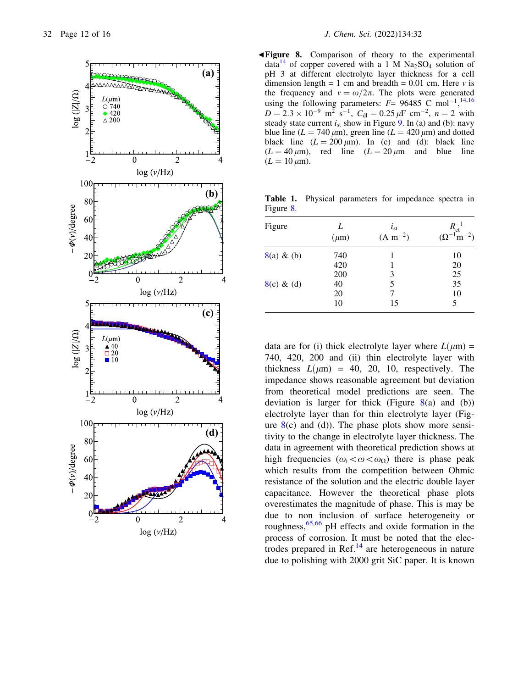

 $\blacktriangleleft$  Figure 8. Comparison of theory to the experimental data<sup>14</sup> of copper covered with a 1 M  $Na<sub>2</sub>SO<sub>4</sub>$  solution of pH 3 at different electrolyte layer thickness for a cell dimension length = 1 cm and breadth =  $0.01$  cm. Here  $\nu$  is the frequency and  $v = \omega/2\pi$ . The plots were generated using the following parameters:  $F = 96485$  C mol<sup>-1</sup>,<sup>14,16</sup>  $D = 2.3 \times 10^{-9}$  m<sup>2</sup> s<sup>-1</sup>,  $C_{\text{dl}} = 0.25 \,\mu\text{F cm}^{-2}$ ,  $n = 2$  with steady state current  $i_{st}$  show in Figure 9. In (a) and (b): navy blue line  $(L = 740 \,\mu\text{m})$ , green line  $(L = 420 \,\mu\text{m})$  and dotted black line  $(L = 200 \mu m)$ . In (c) and (d): black line  $(L = 40 \,\mu\text{m})$ , red line  $(L = 20 \,\mu\text{m}$  and blue line  $(L = 10 \,\mu\text{m}).$ 

Table 1. Physical parameters for impedance spectra in Figure 8.

| Figure        | L<br>$(\mu m)$ | $i_{st}$<br>$(A m^{-2})$ | $R_{\rm ct}^{-1}$<br>$(\Omega^{-1}m^{-2})$ |
|---------------|----------------|--------------------------|--------------------------------------------|
| $8(a) \& (b)$ | 740            |                          | 10                                         |
|               | 420            |                          | 20                                         |
|               | 200            | 3                        | 25                                         |
| $8(c) \& (d)$ | 40             | 5                        | 35                                         |
|               | 20             |                          | 10                                         |
|               | 10             | 15                       | 5                                          |

data are for (i) thick electrolyte layer where  $L(\mu m) =$ 740, 420, 200 and (ii) thin electrolyte layer with thickness  $L(\mu m) = 40, 20, 10,$  respectively. The impedance shows reasonable agreement but deviation from theoretical model predictions are seen. The deviation is larger for thick (Figure  $8(a)$  and (b)) electrolyte layer than for thin electrolyte layer (Figure  $8(c)$  and (d)). The phase plots show more sensitivity to the change in electrolyte layer thickness. The data in agreement with theoretical prediction shows at high frequencies  $(\omega_i < \omega < \omega_\Omega)$  there is phase peak which results from the competition between Ohmic resistance of the solution and the electric double layer capacitance. However the theoretical phase plots overestimates the magnitude of phase. This is may be due to non inclusion of surface heterogeneity or roughness,<sup>65,66</sup> pH effects and oxide formation in the process of corrosion. It must be noted that the electrodes prepared in Ref. $^{14}$  are heterogeneous in nature due to polishing with 2000 grit SiC paper. It is known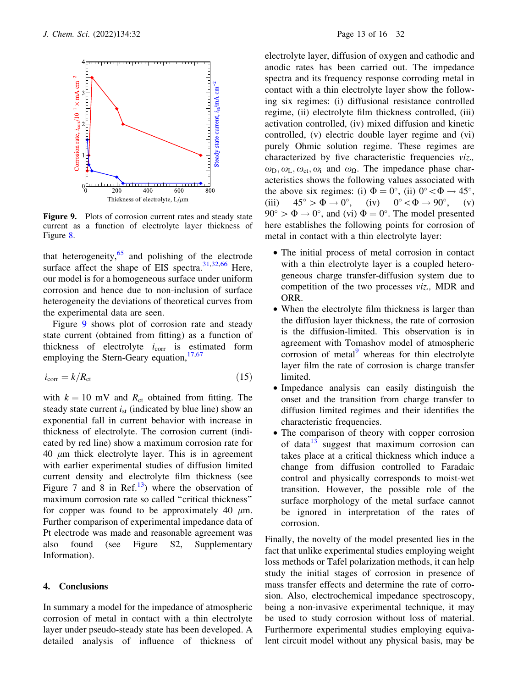

Figure 9. Plots of corrosion current rates and steady state current as a function of electrolyte layer thickness of Figure 8.

that heterogeneity, $65$  and polishing of the electrode surface affect the shape of EIS spectra. $31,32,66$  Here, our model is for a homogeneous surface under uniform corrosion and hence due to non-inclusion of surface heterogeneity the deviations of theoretical curves from the experimental data are seen.

Figure 9 shows plot of corrosion rate and steady state current (obtained from fitting) as a function of thickness of electrolyte  $i_{corr}$  is estimated form employing the Stern-Geary equation,  $17,67$ 

$$
i_{\text{corr}} = k/R_{\text{ct}} \tag{15}
$$

with  $k = 10$  mV and  $R_{ct}$  obtained from fitting. The steady state current  $i_{st}$  (indicated by blue line) show an exponential fall in current behavior with increase in thickness of electrolyte. The corrosion current (indicated by red line) show a maximum corrosion rate for 40  $\mu$ m thick electrolyte layer. This is in agreement with earlier experimental studies of diffusion limited current density and electrolyte film thickness (see Figure 7 and 8 in Ref.<sup>13</sup>) where the observation of maximum corrosion rate so called ''critical thickness'' for copper was found to be approximately 40  $\mu$ m. Further comparison of experimental impedance data of Pt electrode was made and reasonable agreement was also found (see Figure S2, Supplementary Information).

#### 4. Conclusions

In summary a model for the impedance of atmospheric corrosion of metal in contact with a thin electrolyte layer under pseudo-steady state has been developed. A detailed analysis of influence of thickness of electrolyte layer, diffusion of oxygen and cathodic and anodic rates has been carried out. The impedance spectra and its frequency response corroding metal in contact with a thin electrolyte layer show the following six regimes: (i) diffusional resistance controlled regime, (ii) electrolyte film thickness controlled, (iii) activation controlled, (iv) mixed diffusion and kinetic controlled, (v) electric double layer regime and (vi) purely Ohmic solution regime. These regimes are characterized by five characteristic frequencies viz.,  $\omega_{\text{D}}, \omega_{\text{L}}, \omega_{\text{ct}}, \omega_{\text{i}}$  and  $\omega_{\Omega}$ . The impedance phase characteristics shows the following values associated with the above six regimes: (i)  $\Phi = 0^\circ$ , (ii)  $0^\circ < \Phi \rightarrow 45^\circ$ ,<br>(iii)  $45^\circ > \Phi \rightarrow 0^\circ$ , (iv)  $0^\circ < \Phi \rightarrow 90^\circ$ , (v) (iv)  $0^{\circ} < \Phi \rightarrow 90^{\circ}$ , (v)  $90^{\circ} > \Phi \rightarrow 0^{\circ}$ , and (vi)  $\Phi = 0^{\circ}$ . The model presented here establishes the following points for corrosion of metal in contact with a thin electrolyte layer:

- The initial process of metal corrosion in contact with a thin electrolyte layer is a coupled heterogeneous charge transfer-diffusion system due to competition of the two processes viz., MDR and ORR.
- When the electrolyte film thickness is larger than the diffusion layer thickness, the rate of corrosion is the diffusion-limited. This observation is in agreement with Tomashov model of atmospheric corrosion of metal $9$  whereas for thin electrolyte layer film the rate of corrosion is charge transfer limited.
- Impedance analysis can easily distinguish the onset and the transition from charge transfer to diffusion limited regimes and their identifies the characteristic frequencies.
- The comparison of theory with copper corrosion of data $13$  suggest that maximum corrosion can takes place at a critical thickness which induce a change from diffusion controlled to Faradaic control and physically corresponds to moist-wet transition. However, the possible role of the surface morphology of the metal surface cannot be ignored in interpretation of the rates of corrosion.

Finally, the novelty of the model presented lies in the fact that unlike experimental studies employing weight loss methods or Tafel polarization methods, it can help study the initial stages of corrosion in presence of mass transfer effects and determine the rate of corrosion. Also, electrochemical impedance spectroscopy, being a non-invasive experimental technique, it may be used to study corrosion without loss of material. Furthermore experimental studies employing equivalent circuit model without any physical basis, may be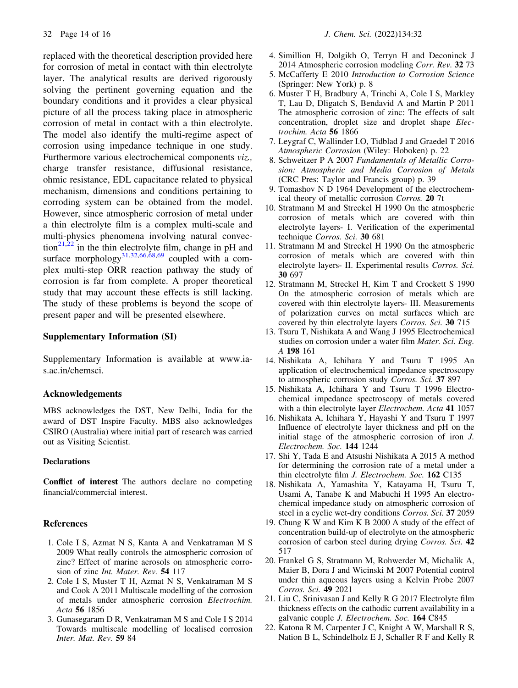replaced with the theoretical description provided here for corrosion of metal in contact with thin electrolyte layer. The analytical results are derived rigorously solving the pertinent governing equation and the boundary conditions and it provides a clear physical picture of all the process taking place in atmospheric corrosion of metal in contact with a thin electrolyte. The model also identify the multi-regime aspect of corrosion using impedance technique in one study. Furthermore various electrochemical components viz., charge transfer resistance, diffusional resistance, ohmic resistance, EDL capacitance related to physical mechanism, dimensions and conditions pertaining to corroding system can be obtained from the model. However, since atmospheric corrosion of metal under a thin electrolyte film is a complex multi-scale and multi-physics phenomena involving natural convection<sup>21,22</sup> in the thin electrolyte film, change in pH and surface morphology<sup>31,32,66,68,69</sup> coupled with a complex multi-step ORR reaction pathway the study of corrosion is far from complete. A proper theoretical study that may account these effects is still lacking. The study of these problems is beyond the scope of present paper and will be presented elsewhere.

### Supplementary Information (SI)

Supplementary Information is available at www.ias.ac.in/chemsci.

# Acknowledgements

MBS acknowledges the DST, New Delhi, India for the award of DST Inspire Faculty. MBS also acknowledges CSIRO (Australia) where initial part of research was carried out as Visiting Scientist.

#### **Declarations**

Conflict of interest The authors declare no competing financial/commercial interest.

# References

- 1. Cole I S, Azmat N S, Kanta A and Venkatraman M S 2009 What really controls the atmospheric corrosion of zinc? Effect of marine aerosols on atmospheric corrosion of zinc Int. Mater. Rev. 54 117
- 2. Cole I S, Muster T H, Azmat N S, Venkatraman M S and Cook A 2011 Multiscale modelling of the corrosion of metals under atmospheric corrosion Electrochim. Acta 56 1856
- 3. Gunasegaram D R, Venkatraman M S and Cole I S 2014 Towards multiscale modelling of localised corrosion Inter. Mat. Rev. 59 84
- 4. Simillion H, Dolgikh O, Terryn H and Deconinck J 2014 Atmospheric corrosion modeling Corr. Rev. 32 73
- 5. McCafferty E 2010 Introduction to Corrosion Science (Springer: New York) p. 8
- 6. Muster T H, Bradbury A, Trinchi A, Cole I S, Markley T, Lau D, Dligatch S, Bendavid A and Martin P 2011 The atmospheric corrosion of zinc: The effects of salt concentration, droplet size and droplet shape Electrochim. Acta 56 1866
- 7. Leygraf C, Wallinder I.O, Tidblad J and Graedel T 2016 Atmospheric Corrosion (Wiley: Hoboken) p. 22
- 8. Schweitzer P A 2007 Fundamentals of Metallic Corrosion: Atmospheric and Media Corrosion of Metals (CRC Pres: Taylor and Francis group) p. 39
- 9. Tomashov N D 1964 Development of the electrochemical theory of metallic corrosion Corros. 20 7t
- 10. Stratmann M and Streckel H 1990 On the atmospheric corrosion of metals which are covered with thin electrolyte layers- I. Verification of the experimental technique Corros. Sci. 30 681
- 11. Stratmann M and Streckel H 1990 On the atmospheric corrosion of metals which are covered with thin electrolyte layers- II. Experimental results Corros. Sci. 30 697
- 12. Stratmann M, Streckel H, Kim T and Crockett S 1990 On the atmospheric corrosion of metals which are covered with thin electrolyte layers- III. Measurements of polarization curves on metal surfaces which are covered by thin electrolyte layers Corros. Sci. 30 715
- 13. Tsuru T, Nishikata A and Wang J 1995 Electrochemical studies on corrosion under a water film Mater. Sci. Eng. A 198 161
- 14. Nishikata A, Ichihara Y and Tsuru T 1995 An application of electrochemical impedance spectroscopy to atmospheric corrosion study Corros. Sci. 37 897
- 15. Nishikata A, Ichihara Y and Tsuru T 1996 Electrochemical impedance spectroscopy of metals covered with a thin electrolyte layer Electrochem. Acta 41 1057
- 16. Nishikata A, Ichihara Y, Hayashi Y and Tsuru T 1997 Influence of electrolyte layer thickness and pH on the initial stage of the atmospheric corrosion of iron J. Electrochem. Soc. 144 1244
- 17. Shi Y, Tada E and Atsushi Nishikata A 2015 A method for determining the corrosion rate of a metal under a thin electrolyte film J. Electrochem. Soc. 162 C135
- 18. Nishikata A, Yamashita Y, Katayama H, Tsuru T, Usami A, Tanabe K and Mabuchi H 1995 An electrochemical impedance study on atmospheric corrosion of steel in a cyclic wet-dry conditions Corros. Sci. 37 2059
- 19. Chung K W and Kim K B 2000 A study of the effect of concentration build-up of electrolyte on the atmospheric corrosion of carbon steel during drying Corros. Sci. 42 517
- 20. Frankel G S, Stratmann M, Rohwerder M, Michalik A, Maier B, Dora J and Wicinski M 2007 Potential control under thin aqueous layers using a Kelvin Probe 2007 Corros. Sci. 49 2021
- 21. Liu C, Srinivasan J and Kelly R G 2017 Electrolyte film thickness effects on the cathodic current availability in a galvanic couple J. Electrochem. Soc. 164 C845
- 22. Katona R M, Carpenter J C, Knight A W, Marshall R S, Nation B L, Schindelholz E J, Schaller R F and Kelly R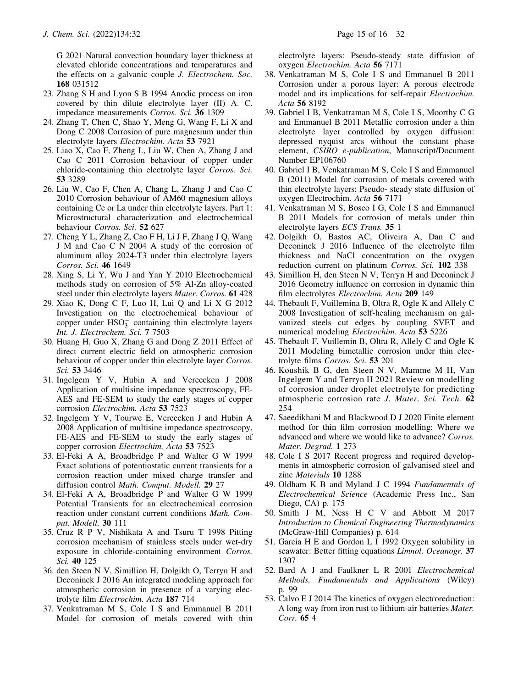G 2021 Natural convection boundary layer thickness at elevated chloride concentrations and temperatures and the effects on a galvanic couple J. Electrochem. Soc. 168 031512

- 23. Zhang S H and Lyon S B 1994 Anodic process on iron covered by thin dilute electrolyte layer (II) A. C. impedance measurements Corros. Sci. 36 1309
- 24. Zhang T, Chen C, Shao Y, Meng G, Wang F, Li X and Dong C 2008 Corrosion of pure magnesium under thin electrolyte layers Electrochim. Acta 53 7921
- 25. Liao X, Cao F, Zheng L, Liu W, Chen A, Zhang J and Cao C 2011 Corrosion behaviour of copper under chloride-containing thin electrolyte layer Corros. Sci. 53 3289
- 26. Liu W, Cao F, Chen A, Chang L, Zhang J and Cao C 2010 Corrosion behaviour of AM60 magnesium alloys containing Ce or La under thin electrolyte layers. Part 1: Microstructural characterization and electrochemical behaviour Corros. Sci. 52 627
- 27. Cheng Y L, Zhang Z, Cao F H, Li J F, Zhang J Q, Wang J M and Cao C N 2004 A study of the corrosion of aluminum alloy 2024-T3 under thin electrolyte layers Corros. Sci. 46 1649
- 28. Xing S, Li Y, Wu J and Yan Y 2010 Electrochemical methods study on corrosion of 5% Al-Zn alloy-coated steel under thin electrolyte layers Mater. Corros. 61 428
- 29. Xiao K, Dong C F, Luo H, Lui Q and Li X G 2012 Investigation on the electrochemical behaviour of copper under  $HSO_3^-$  containing thin electrolyte layers Int. J. Electrochem. Sci. 7 7503
- 30. Huang H, Guo X, Zhang G and Dong Z 2011 Effect of direct current electric field on atmospheric corrosion behaviour of copper under thin electrolyte layer Corros. Sci. 53 3446
- 31. Ingelgem Y V, Hubin A and Vereecken J 2008 Application of multisine impedance spectroscopy, FE-AES and FE-SEM to study the early stages of copper corrosion Electrochim. Acta 53 7523
- 32. Ingelgem Y V, Tourwe E, Vereecken J and Hubin A 2008 Application of multisine impedance spectroscopy, FE-AES and FE-SEM to study the early stages of copper corrosion Electrochim. Acta 53 7523
- 33. El-Feki A A, Broadbridge P and Walter G W 1999 Exact solutions of potentiostatic current transients for a corrosion reaction under mixed charge transfer and diffusion control Math. Comput. Modell. 29 27
- 34. El-Feki A A, Broadbridge P and Walter G W 1999 Potential Transients for an electrochemical corrosion reaction under constant current conditions Math. Comput. Modell. 30 111
- 35. Cruz R P V, Nishikata A and Tsuru T 1998 Pitting corrosion mechanism of stainless steels under wet-dry exposure in chloride-containing environment Corros. Sci. 40 125
- 36. den Steen N V, Simillion H, Dolgikh O, Terryn H and Deconinck J 2016 An integrated modeling approach for atmospheric corrosion in presence of a varying electrolyte film Electrochim. Acta 187 714
- 37. Venkatraman M S, Cole I S and Emmanuel B 2011 Model for corrosion of metals covered with thin

electrolyte layers: Pseudo-steady state diffusion of oxygen Electrochim. Acta 56 7171

- 38. Venkatraman M S, Cole I S and Emmanuel B 2011 Corrosion under a porous layer: A porous electrode model and its implications for self-repair Electrochim. Acta 56 8192
- 39. Gabriel I B, Venkatraman M S, Cole I S, Moorthy C G and Emmanuel B 2011 Metallic corrosion under a thin electrolyte layer controlled by oxygen diffusion: depressed nyquist arcs without the constant phase element, CSIRO e-publication, Manuscript/Document Number EP106760
- 40. Gabriel I B, Venkatraman M S, Cole I S and Emmanuel B (2011) Model for corrosion of metals covered with thin electrolyte layers: Pseudo- steady state diffusion of oxygen Electrochim. Acta 56 7171
- 41. Venkatraman M S, Bosco I G, Cole I S and Emmanuel B 2011 Models for corrosion of metals under thin electrolyte layers ECS Trans. 35 1
- 42. Dolgikh O, Bastos AC, Oliveira A, Dan C and Deconinck J 2016 Influence of the electrolyte film thickness and NaCl concentration on the oxygen reduction current on platinum Corros. Sci. 102 338
- 43. Simillion H, den Steen N V, Terryn H and Deconinck J 2016 Geometry influence on corrosion in dynamic thin film electrolytes Electrochim. Acta 209 149
- 44. Thebault F, Vuillemina B, Oltra R, Ogle K and Allely C 2008 Investigation of self-healing mechanism on galvanized steels cut edges by coupling SVET and numerical modeling Electrochim. Acta 53 5226
- 45. Thebault F, Vuillemin B, Oltra R, Allely C and Ogle K 2011 Modeling bimetallic corrosion under thin electrolyte films Corros. Sci. 53 201
- 46. Koushik B G, den Steen N V, Mamme M H, Van Ingelgem Y and Terryn H 2021 Review on modelling of corrosion under droplet electrolyte for predicting atmospheric corrosion rate J. Mater. Sci. Tech. 62 254
- 47. Saeedikhani M and Blackwood D J 2020 Finite element method for thin film corrosion modelling: Where we advanced and where we would like to advance? Corros. Mater. Degrad. 1 273
- 48. Cole I S 2017 Recent progress and required developments in atmospheric corrosion of galvanised steel and zinc Materials 10 1288
- 49. Oldham K B and Myland J C 1994 Fundamentals of Electrochemical Science (Academic Press Inc., San Diego, CA) p. 175
- 50. Smith J M, Ness H C V and Abbott M 2017 Introduction to Chemical Engineering Thermodynamics (McGraw-Hill Companies) p. 614
- 51. Garcia H E and Gordon L I 1992 Oxygen solubility in seawater: Better fitting equations *Limnol. Oceanogr*. 37 1307
- 52. Bard A J and Faulkner L R 2001 Electrochemical Methods, Fundamentals and Applications (Wiley) p. 99
- 53. Calvo E J 2014 The kinetics of oxygen electroreduction: A long way from iron rust to lithium-air batteries Mater. Corr. 65 4